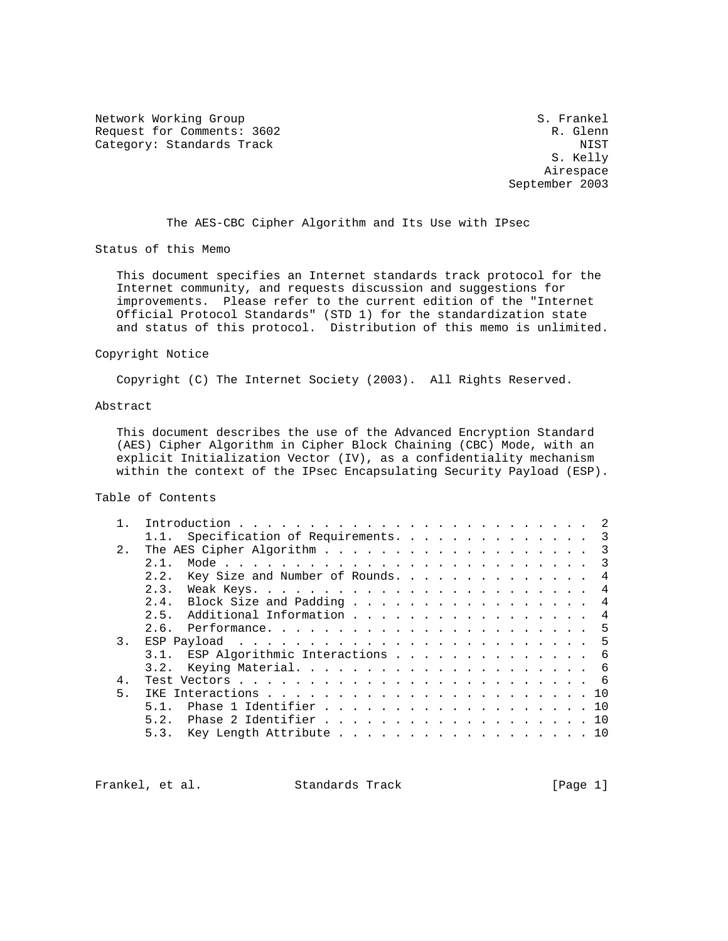Network Working Group S. Frankel Request for Comments: 3602 R. Glenn Category: Standards Track NIST

 S. Kelly Airespace September 2003

The AES-CBC Cipher Algorithm and Its Use with IPsec

Status of this Memo

 This document specifies an Internet standards track protocol for the Internet community, and requests discussion and suggestions for improvements. Please refer to the current edition of the "Internet Official Protocol Standards" (STD 1) for the standardization state and status of this protocol. Distribution of this memo is unlimited.

### Copyright Notice

Copyright (C) The Internet Society (2003). All Rights Reserved.

# Abstract

 This document describes the use of the Advanced Encryption Standard (AES) Cipher Algorithm in Cipher Block Chaining (CBC) Mode, with an explicit Initialization Vector (IV), as a confidentiality mechanism within the context of the IPsec Encapsulating Security Payload (ESP).

### Table of Contents

|                | Specification of Requirements. 3         |
|----------------|------------------------------------------|
| 2.1            |                                          |
|                | 2 1                                      |
|                | Key Size and Number of Rounds. 4<br>2.2. |
|                | 2.3.<br>4                                |
|                | 2.4. Block Size and Padding 4            |
|                | 2.5. Additional Information 4            |
|                |                                          |
| 3.             |                                          |
|                | 3.1. ESP Algorithmic Interactions 6      |
|                | 3.2.                                     |
| 4.             |                                          |
| 5 <sub>1</sub> |                                          |
|                | Phase 1 Identifier 10                    |
|                | Phase 2 Identifier 10<br>5.2.            |
|                | Key Length Attribute 10<br>5.3.          |
|                |                                          |

Frankel, et al. Standards Track [Page 1]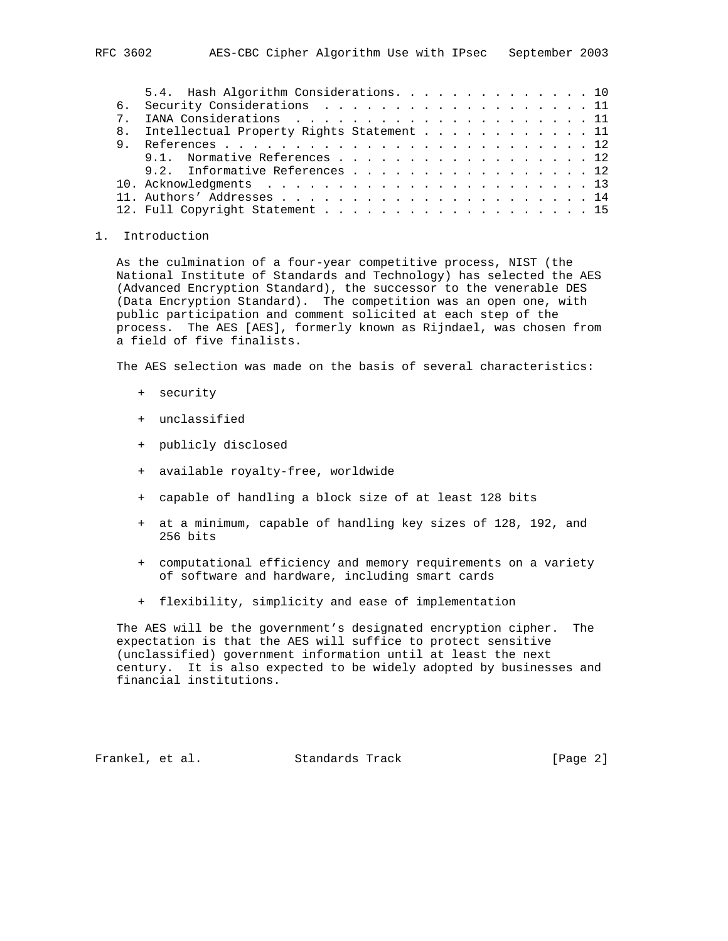|  | 5.4. Hash Algorithm Considerations. 10       |
|--|----------------------------------------------|
|  | 6. Security Considerations 11                |
|  |                                              |
|  | 8. Intellectual Property Rights Statement 11 |
|  |                                              |
|  | 9.1. Normative References 12                 |
|  | 9.2. Informative References 12               |
|  |                                              |
|  |                                              |
|  |                                              |

#### 1. Introduction

 As the culmination of a four-year competitive process, NIST (the National Institute of Standards and Technology) has selected the AES (Advanced Encryption Standard), the successor to the venerable DES (Data Encryption Standard). The competition was an open one, with public participation and comment solicited at each step of the process. The AES [AES], formerly known as Rijndael, was chosen from a field of five finalists.

The AES selection was made on the basis of several characteristics:

- + security
- + unclassified
- + publicly disclosed
- + available royalty-free, worldwide
- + capable of handling a block size of at least 128 bits
- + at a minimum, capable of handling key sizes of 128, 192, and 256 bits
- + computational efficiency and memory requirements on a variety of software and hardware, including smart cards
- + flexibility, simplicity and ease of implementation

 The AES will be the government's designated encryption cipher. The expectation is that the AES will suffice to protect sensitive (unclassified) government information until at least the next century. It is also expected to be widely adopted by businesses and financial institutions.

Frankel, et al. Standards Track [Page 2]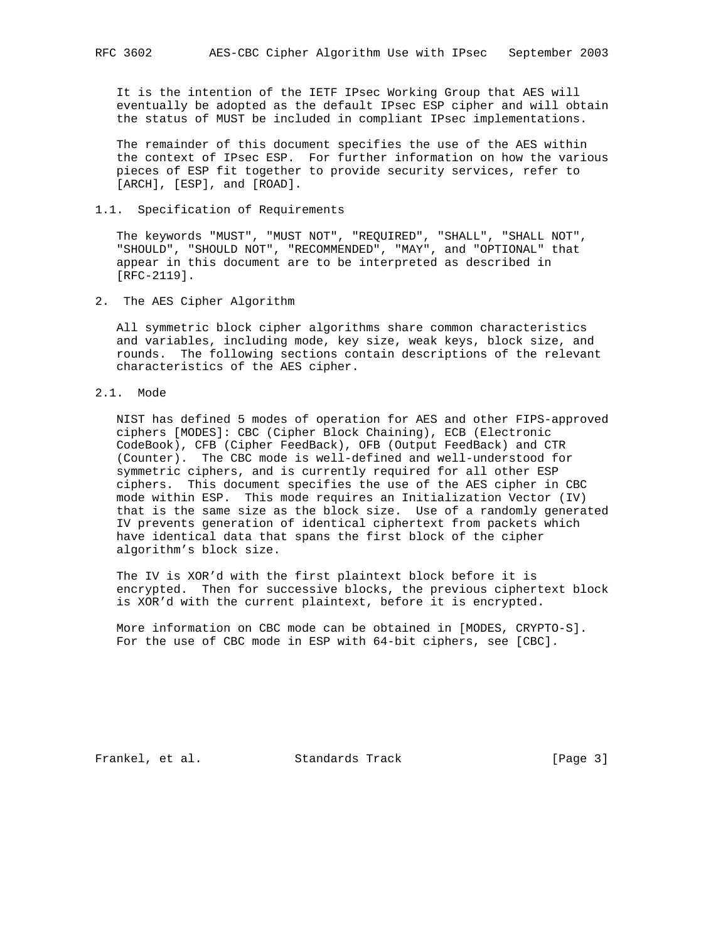It is the intention of the IETF IPsec Working Group that AES will eventually be adopted as the default IPsec ESP cipher and will obtain the status of MUST be included in compliant IPsec implementations.

 The remainder of this document specifies the use of the AES within the context of IPsec ESP. For further information on how the various pieces of ESP fit together to provide security services, refer to [ARCH], [ESP], and [ROAD].

### 1.1. Specification of Requirements

 The keywords "MUST", "MUST NOT", "REQUIRED", "SHALL", "SHALL NOT", "SHOULD", "SHOULD NOT", "RECOMMENDED", "MAY", and "OPTIONAL" that appear in this document are to be interpreted as described in [RFC-2119].

2. The AES Cipher Algorithm

 All symmetric block cipher algorithms share common characteristics and variables, including mode, key size, weak keys, block size, and rounds. The following sections contain descriptions of the relevant characteristics of the AES cipher.

2.1. Mode

 NIST has defined 5 modes of operation for AES and other FIPS-approved ciphers [MODES]: CBC (Cipher Block Chaining), ECB (Electronic CodeBook), CFB (Cipher FeedBack), OFB (Output FeedBack) and CTR (Counter). The CBC mode is well-defined and well-understood for symmetric ciphers, and is currently required for all other ESP ciphers. This document specifies the use of the AES cipher in CBC mode within ESP. This mode requires an Initialization Vector (IV) that is the same size as the block size. Use of a randomly generated IV prevents generation of identical ciphertext from packets which have identical data that spans the first block of the cipher algorithm's block size.

 The IV is XOR'd with the first plaintext block before it is encrypted. Then for successive blocks, the previous ciphertext block is XOR'd with the current plaintext, before it is encrypted.

 More information on CBC mode can be obtained in [MODES, CRYPTO-S]. For the use of CBC mode in ESP with 64-bit ciphers, see [CBC].

Frankel, et al. Standards Track [Page 3]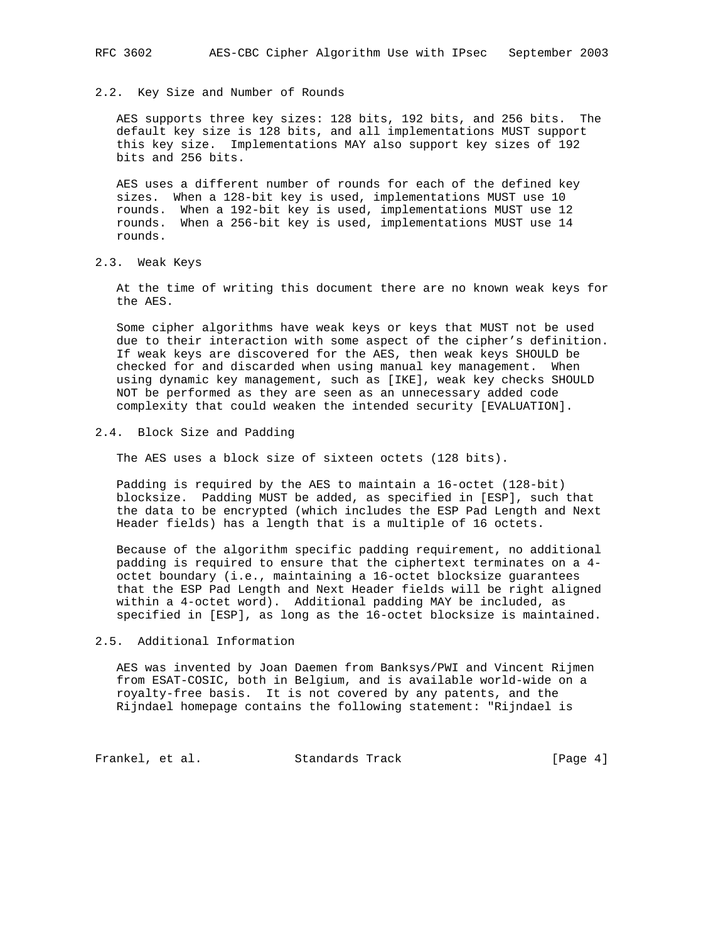#### 2.2. Key Size and Number of Rounds

 AES supports three key sizes: 128 bits, 192 bits, and 256 bits. The default key size is 128 bits, and all implementations MUST support this key size. Implementations MAY also support key sizes of 192 bits and 256 bits.

 AES uses a different number of rounds for each of the defined key sizes. When a 128-bit key is used, implementations MUST use 10 rounds. When a 192-bit key is used, implementations MUST use 12 rounds. When a 256-bit key is used, implementations MUST use 14 rounds.

2.3. Weak Keys

 At the time of writing this document there are no known weak keys for the AES.

 Some cipher algorithms have weak keys or keys that MUST not be used due to their interaction with some aspect of the cipher's definition. If weak keys are discovered for the AES, then weak keys SHOULD be checked for and discarded when using manual key management. When using dynamic key management, such as [IKE], weak key checks SHOULD NOT be performed as they are seen as an unnecessary added code complexity that could weaken the intended security [EVALUATION].

### 2.4. Block Size and Padding

The AES uses a block size of sixteen octets (128 bits).

 Padding is required by the AES to maintain a 16-octet (128-bit) blocksize. Padding MUST be added, as specified in [ESP], such that the data to be encrypted (which includes the ESP Pad Length and Next Header fields) has a length that is a multiple of 16 octets.

 Because of the algorithm specific padding requirement, no additional padding is required to ensure that the ciphertext terminates on a 4 octet boundary (i.e., maintaining a 16-octet blocksize guarantees that the ESP Pad Length and Next Header fields will be right aligned within a 4-octet word). Additional padding MAY be included, as specified in [ESP], as long as the 16-octet blocksize is maintained.

#### 2.5. Additional Information

 AES was invented by Joan Daemen from Banksys/PWI and Vincent Rijmen from ESAT-COSIC, both in Belgium, and is available world-wide on a royalty-free basis. It is not covered by any patents, and the Rijndael homepage contains the following statement: "Rijndael is

Frankel, et al. Standards Track [Page 4]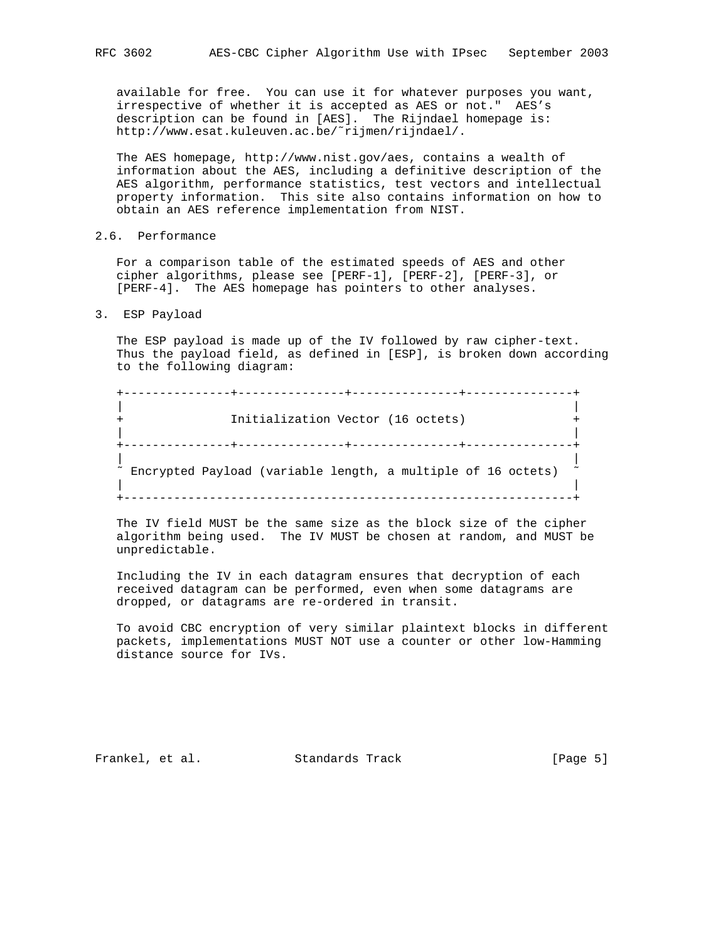available for free. You can use it for whatever purposes you want, irrespective of whether it is accepted as AES or not." AES's description can be found in [AES]. The Rijndael homepage is: http://www.esat.kuleuven.ac.be/˜rijmen/rijndael/.

 The AES homepage, http://www.nist.gov/aes, contains a wealth of information about the AES, including a definitive description of the AES algorithm, performance statistics, test vectors and intellectual property information. This site also contains information on how to obtain an AES reference implementation from NIST.

# 2.6. Performance

 For a comparison table of the estimated speeds of AES and other cipher algorithms, please see [PERF-1], [PERF-2], [PERF-3], or [PERF-4]. The AES homepage has pointers to other analyses.

3. ESP Payload

 The ESP payload is made up of the IV followed by raw cipher-text. Thus the payload field, as defined in [ESP], is broken down according to the following diagram:

 +---------------+---------------+---------------+---------------+ | | Initialization Vector (16 octets) | | +---------------+---------------+---------------+---------------+ | |  $\degree$  Encrypted Payload (variable length, a multiple of 16 octets)  $\degree$  | | +---------------------------------------------------------------+

 The IV field MUST be the same size as the block size of the cipher algorithm being used. The IV MUST be chosen at random, and MUST be unpredictable.

 Including the IV in each datagram ensures that decryption of each received datagram can be performed, even when some datagrams are dropped, or datagrams are re-ordered in transit.

 To avoid CBC encryption of very similar plaintext blocks in different packets, implementations MUST NOT use a counter or other low-Hamming distance source for IVs.

Frankel, et al. Standards Track [Page 5]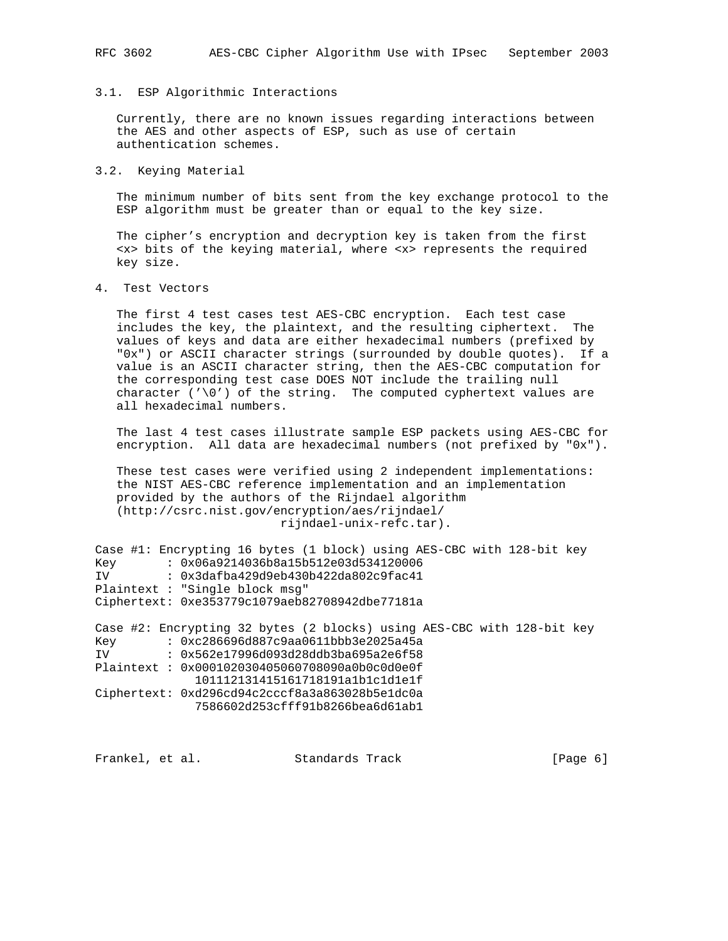### RFC 3602 AES-CBC Cipher Algorithm Use with IPsec September 2003

#### 3.1. ESP Algorithmic Interactions

 Currently, there are no known issues regarding interactions between the AES and other aspects of ESP, such as use of certain authentication schemes.

### 3.2. Keying Material

 The minimum number of bits sent from the key exchange protocol to the ESP algorithm must be greater than or equal to the key size.

 The cipher's encryption and decryption key is taken from the first <x> bits of the keying material, where <x> represents the required key size.

4. Test Vectors

 The first 4 test cases test AES-CBC encryption. Each test case includes the key, the plaintext, and the resulting ciphertext. The values of keys and data are either hexadecimal numbers (prefixed by "0x") or ASCII character strings (surrounded by double quotes). If a value is an ASCII character string, then the AES-CBC computation for the corresponding test case DOES NOT include the trailing null character  $(')0')$  of the string. The computed cyphertext values are all hexadecimal numbers.

 The last 4 test cases illustrate sample ESP packets using AES-CBC for encryption. All data are hexadecimal numbers (not prefixed by "0x").

 These test cases were verified using 2 independent implementations: the NIST AES-CBC reference implementation and an implementation provided by the authors of the Rijndael algorithm (http://csrc.nist.gov/encryption/aes/rijndael/ rijndael-unix-refc.tar).

```
Case #1: Encrypting 16 bytes (1 block) using AES-CBC with 128-bit key
Key : 0x06a9214036b8a15b512e03d534120006
IV : 0x3dafba429d9eb430b422da802c9fac41
Plaintext : "Single block msg"
Ciphertext: 0xe353779c1079aeb82708942dbe77181a
```
Case #2: Encrypting 32 bytes (2 blocks) using AES-CBC with 128-bit key Key : 0xc286696d887c9aa0611bbb3e2025a45a IV : 0x562e17996d093d28ddb3ba695a2e6f58 Plaintext : 0x000102030405060708090a0b0c0d0e0f 101112131415161718191a1b1c1d1e1f Ciphertext: 0xd296cd94c2cccf8a3a863028b5e1dc0a 7586602d253cfff91b8266bea6d61ab1

Frankel, et al. Standards Track [Page 6]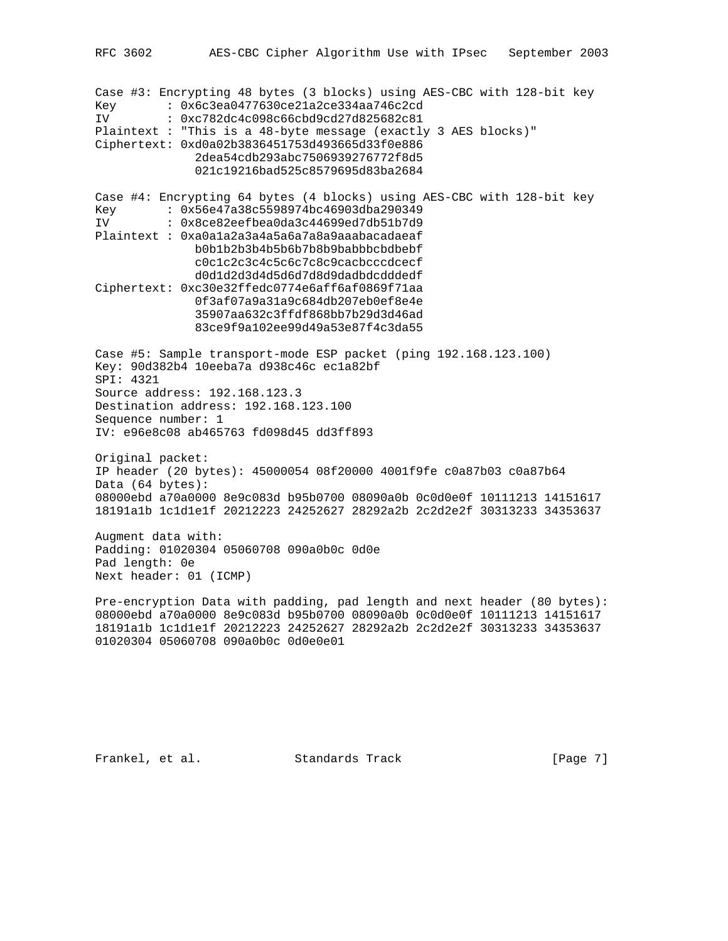RFC 3602 AES-CBC Cipher Algorithm Use with IPsec September 2003 Case #3: Encrypting 48 bytes (3 blocks) using AES-CBC with 128-bit key Key : 0x6c3ea0477630ce21a2ce334aa746c2cd IV : 0xc782dc4c098c66cbd9cd27d825682c81 Plaintext : "This is a 48-byte message (exactly 3 AES blocks)" Ciphertext: 0xd0a02b3836451753d493665d33f0e886 2dea54cdb293abc7506939276772f8d5 021c19216bad525c8579695d83ba2684 Case #4: Encrypting 64 bytes (4 blocks) using AES-CBC with 128-bit key Key : 0x56e47a38c5598974bc46903dba290349<br>IV : 0x8ce82eefbea0da3c44699ed7db51b7d9 : 0x8ce82eefbea0da3c44699ed7db51b7d9 Plaintext : 0xa0a1a2a3a4a5a6a7a8a9aaabacadaeaf b0b1b2b3b4b5b6b7b8b9babbbcbdbebf c0c1c2c3c4c5c6c7c8c9cacbcccdcecf d0d1d2d3d4d5d6d7d8d9dadbdcdddedf Ciphertext: 0xc30e32ffedc0774e6aff6af0869f71aa 0f3af07a9a31a9c684db207eb0ef8e4e 35907aa632c3ffdf868bb7b29d3d46ad 83ce9f9a102ee99d49a53e87f4c3da55 Case #5: Sample transport-mode ESP packet (ping 192.168.123.100) Key: 90d382b4 10eeba7a d938c46c ec1a82bf SPI: 4321 Source address: 192.168.123.3 Destination address: 192.168.123.100 Sequence number: 1 IV: e96e8c08 ab465763 fd098d45 dd3ff893 Original packet: IP header (20 bytes): 45000054 08f20000 4001f9fe c0a87b03 c0a87b64 Data (64 bytes): 08000ebd a70a0000 8e9c083d b95b0700 08090a0b 0c0d0e0f 10111213 14151617 18191a1b 1c1d1e1f 20212223 24252627 28292a2b 2c2d2e2f 30313233 34353637 Augment data with: Padding: 01020304 05060708 090a0b0c 0d0e Pad length: 0e Next header: 01 (ICMP) Pre-encryption Data with padding, pad length and next header (80 bytes): 08000ebd a70a0000 8e9c083d b95b0700 08090a0b 0c0d0e0f 10111213 14151617

01020304 05060708 090a0b0c 0d0e0e01

Frankel, et al. Standards Track [Page 7]

18191a1b 1c1d1e1f 20212223 24252627 28292a2b 2c2d2e2f 30313233 34353637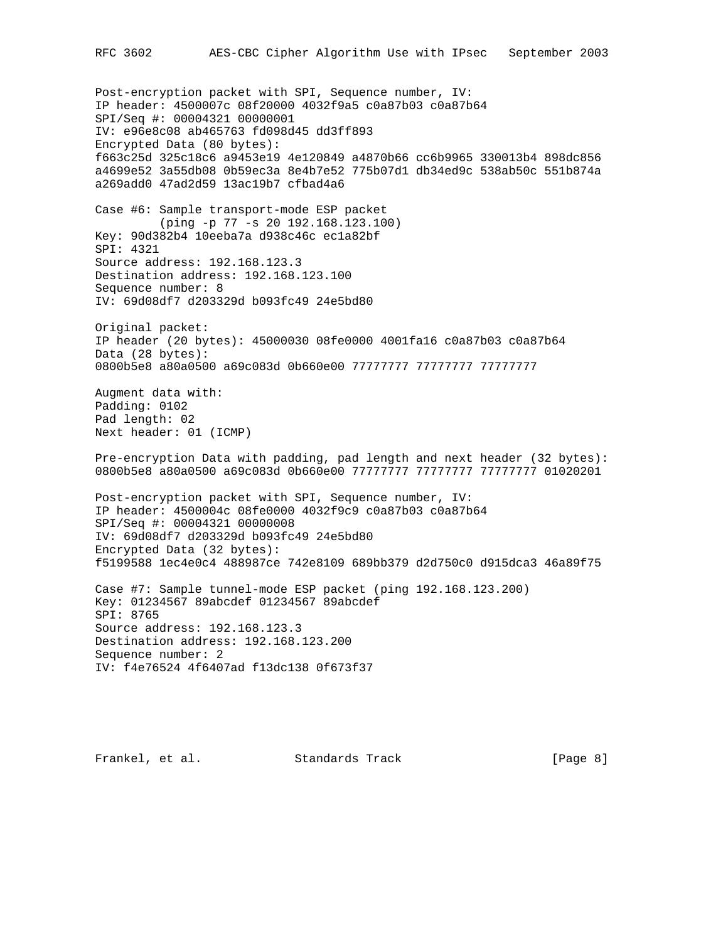Post-encryption packet with SPI, Sequence number, IV: IP header: 4500007c 08f20000 4032f9a5 c0a87b03 c0a87b64 SPI/Seq #: 00004321 00000001 IV: e96e8c08 ab465763 fd098d45 dd3ff893 Encrypted Data (80 bytes): f663c25d 325c18c6 a9453e19 4e120849 a4870b66 cc6b9965 330013b4 898dc856 a4699e52 3a55db08 0b59ec3a 8e4b7e52 775b07d1 db34ed9c 538ab50c 551b874a a269add0 47ad2d59 13ac19b7 cfbad4a6 Case #6: Sample transport-mode ESP packet (ping -p 77 -s 20 192.168.123.100) Key: 90d382b4 10eeba7a d938c46c ec1a82bf SPI: 4321 Source address: 192.168.123.3 Destination address: 192.168.123.100 Sequence number: 8 IV: 69d08df7 d203329d b093fc49 24e5bd80 Original packet: IP header (20 bytes): 45000030 08fe0000 4001fa16 c0a87b03 c0a87b64 Data (28 bytes): 0800b5e8 a80a0500 a69c083d 0b660e00 77777777 77777777 77777777 Augment data with: Padding: 0102 Pad length: 02 Next header: 01 (ICMP) Pre-encryption Data with padding, pad length and next header (32 bytes): 0800b5e8 a80a0500 a69c083d 0b660e00 77777777 77777777 77777777 01020201 Post-encryption packet with SPI, Sequence number, IV: IP header: 4500004c 08fe0000 4032f9c9 c0a87b03 c0a87b64 SPI/Seq #: 00004321 00000008 IV: 69d08df7 d203329d b093fc49 24e5bd80 Encrypted Data (32 bytes): f5199588 1ec4e0c4 488987ce 742e8109 689bb379 d2d750c0 d915dca3 46a89f75 Case #7: Sample tunnel-mode ESP packet (ping 192.168.123.200) Key: 01234567 89abcdef 01234567 89abcdef SPI: 8765 Source address: 192.168.123.3 Destination address: 192.168.123.200 Sequence number: 2 IV: f4e76524 4f6407ad f13dc138 0f673f37

Frankel, et al. Standards Track [Page 8]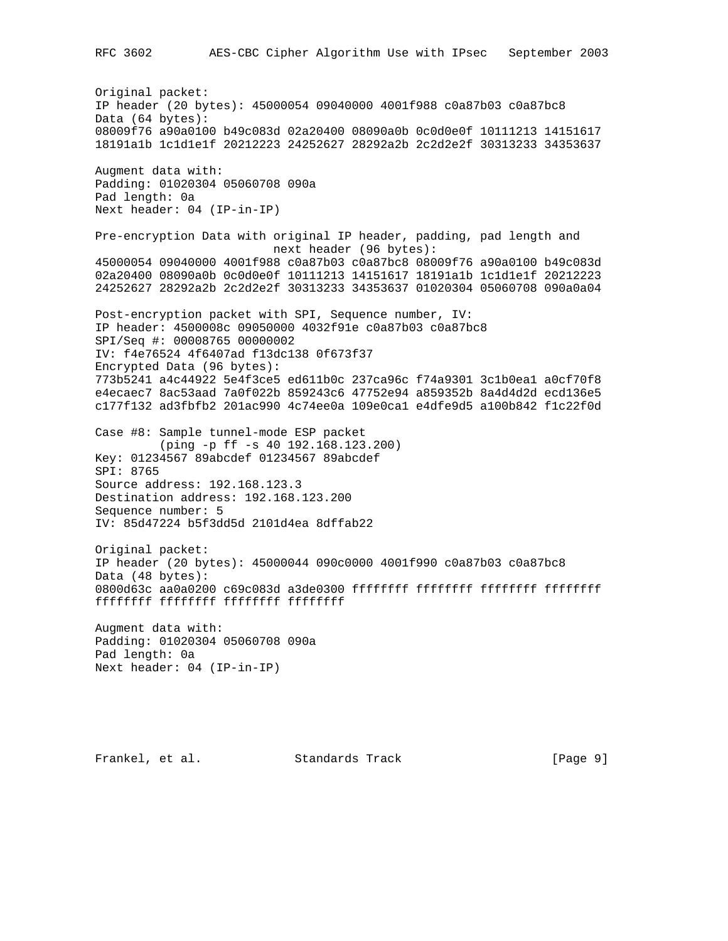Original packet: IP header (20 bytes): 45000054 09040000 4001f988 c0a87b03 c0a87bc8 Data (64 bytes): 08009f76 a90a0100 b49c083d 02a20400 08090a0b 0c0d0e0f 10111213 14151617 18191a1b 1c1d1e1f 20212223 24252627 28292a2b 2c2d2e2f 30313233 34353637 Augment data with: Padding: 01020304 05060708 090a Pad length: 0a Next header: 04 (IP-in-IP) Pre-encryption Data with original IP header, padding, pad length and next header (96 bytes): 45000054 09040000 4001f988 c0a87b03 c0a87bc8 08009f76 a90a0100 b49c083d 02a20400 08090a0b 0c0d0e0f 10111213 14151617 18191a1b 1c1d1e1f 20212223 24252627 28292a2b 2c2d2e2f 30313233 34353637 01020304 05060708 090a0a04 Post-encryption packet with SPI, Sequence number, IV: IP header: 4500008c 09050000 4032f91e c0a87b03 c0a87bc8 SPI/Seq #: 00008765 00000002 IV: f4e76524 4f6407ad f13dc138 0f673f37 Encrypted Data (96 bytes): 773b5241 a4c44922 5e4f3ce5 ed611b0c 237ca96c f74a9301 3c1b0ea1 a0cf70f8 e4ecaec7 8ac53aad 7a0f022b 859243c6 47752e94 a859352b 8a4d4d2d ecd136e5 c177f132 ad3fbfb2 201ac990 4c74ee0a 109e0ca1 e4dfe9d5 a100b842 f1c22f0d Case #8: Sample tunnel-mode ESP packet (ping -p ff -s 40 192.168.123.200) Key: 01234567 89abcdef 01234567 89abcdef SPI: 8765 Source address: 192.168.123.3 Destination address: 192.168.123.200 Sequence number: 5 IV: 85d47224 b5f3dd5d 2101d4ea 8dffab22 Original packet: IP header (20 bytes): 45000044 090c0000 4001f990 c0a87b03 c0a87bc8 Data (48 bytes): 0800d63c aa0a0200 c69c083d a3de0300 ffffffff ffffffff ffffffff ffffffff ffffffff ffffffff ffffffff ffffffff Augment data with: Padding: 01020304 05060708 090a Pad length: 0a Next header: 04 (IP-in-IP)

Frankel, et al. Standards Track [Page 9]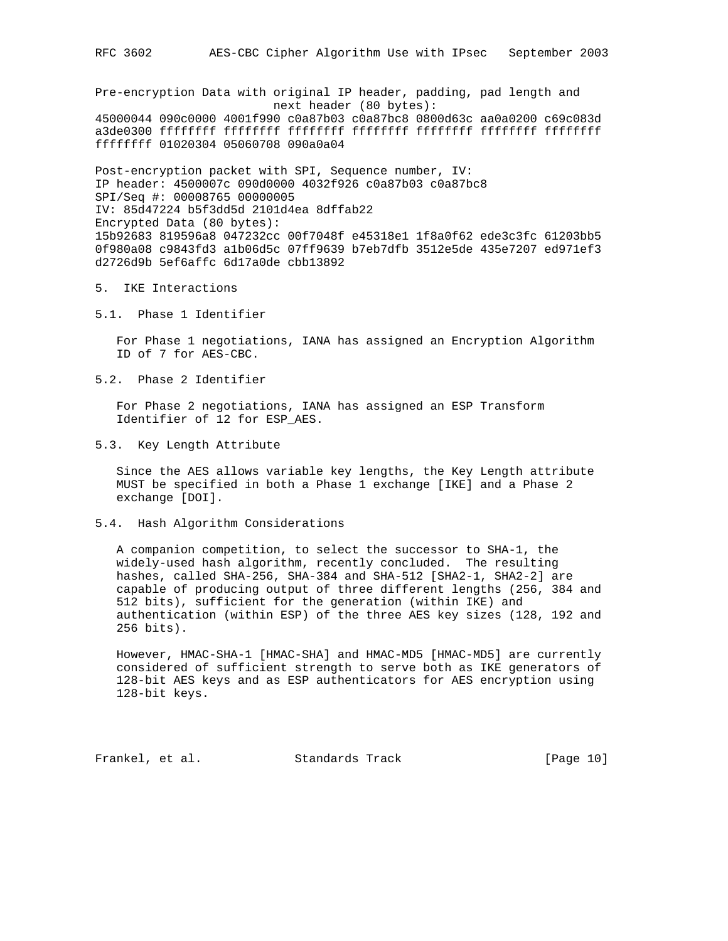Pre-encryption Data with original IP header, padding, pad length and next header (80 bytes): 45000044 090c0000 4001f990 c0a87b03 c0a87bc8 0800d63c aa0a0200 c69c083d a3de0300 ffffffff ffffffff ffffffff ffffffff ffffffff ffffffff ffffffff

ffffffff 01020304 05060708 090a0a04

Post-encryption packet with SPI, Sequence number, IV: IP header: 4500007c 090d0000 4032f926 c0a87b03 c0a87bc8 SPI/Seq #: 00008765 00000005 IV: 85d47224 b5f3dd5d 2101d4ea 8dffab22 Encrypted Data (80 bytes): 15b92683 819596a8 047232cc 00f7048f e45318e1 1f8a0f62 ede3c3fc 61203bb5 0f980a08 c9843fd3 a1b06d5c 07ff9639 b7eb7dfb 3512e5de 435e7207 ed971ef3 d2726d9b 5ef6affc 6d17a0de cbb13892

#### 5. IKE Interactions

5.1. Phase 1 Identifier

 For Phase 1 negotiations, IANA has assigned an Encryption Algorithm ID of 7 for AES-CBC.

5.2. Phase 2 Identifier

 For Phase 2 negotiations, IANA has assigned an ESP Transform Identifier of 12 for ESP\_AES.

5.3. Key Length Attribute

 Since the AES allows variable key lengths, the Key Length attribute MUST be specified in both a Phase 1 exchange [IKE] and a Phase 2 exchange [DOI].

5.4. Hash Algorithm Considerations

 A companion competition, to select the successor to SHA-1, the widely-used hash algorithm, recently concluded. The resulting hashes, called SHA-256, SHA-384 and SHA-512 [SHA2-1, SHA2-2] are capable of producing output of three different lengths (256, 384 and 512 bits), sufficient for the generation (within IKE) and authentication (within ESP) of the three AES key sizes (128, 192 and 256 bits).

 However, HMAC-SHA-1 [HMAC-SHA] and HMAC-MD5 [HMAC-MD5] are currently considered of sufficient strength to serve both as IKE generators of 128-bit AES keys and as ESP authenticators for AES encryption using 128-bit keys.

Frankel, et al. Standards Track [Page 10]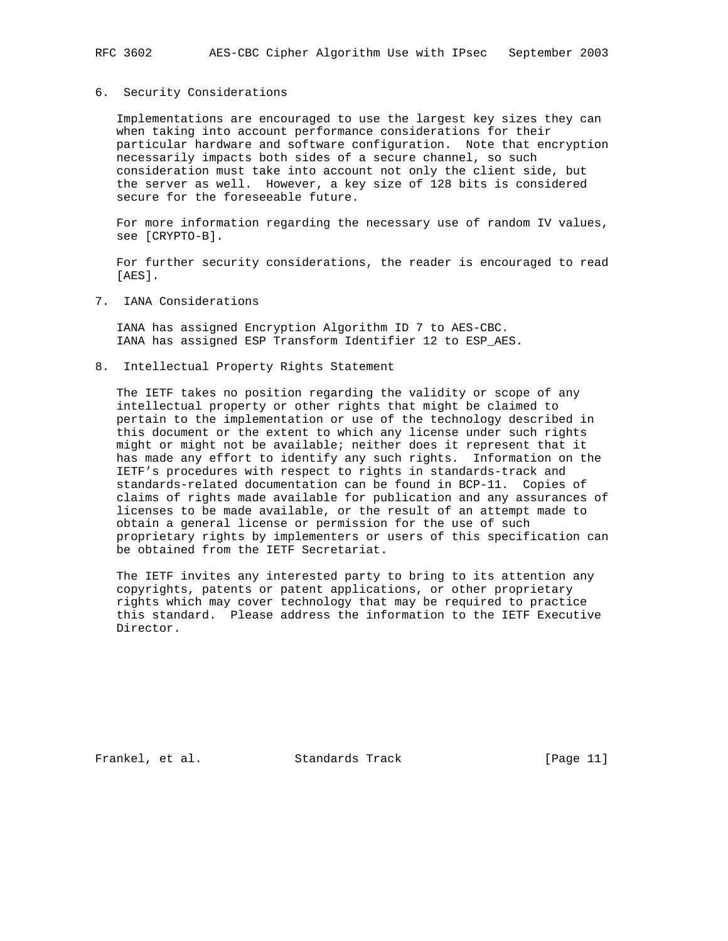#### 6. Security Considerations

 Implementations are encouraged to use the largest key sizes they can when taking into account performance considerations for their particular hardware and software configuration. Note that encryption necessarily impacts both sides of a secure channel, so such consideration must take into account not only the client side, but the server as well. However, a key size of 128 bits is considered secure for the foreseeable future.

 For more information regarding the necessary use of random IV values, see [CRYPTO-B].

 For further security considerations, the reader is encouraged to read [AES].

7. IANA Considerations

 IANA has assigned Encryption Algorithm ID 7 to AES-CBC. IANA has assigned ESP Transform Identifier 12 to ESP\_AES.

8. Intellectual Property Rights Statement

 The IETF takes no position regarding the validity or scope of any intellectual property or other rights that might be claimed to pertain to the implementation or use of the technology described in this document or the extent to which any license under such rights might or might not be available; neither does it represent that it has made any effort to identify any such rights. Information on the IETF's procedures with respect to rights in standards-track and standards-related documentation can be found in BCP-11. Copies of claims of rights made available for publication and any assurances of licenses to be made available, or the result of an attempt made to obtain a general license or permission for the use of such proprietary rights by implementers or users of this specification can be obtained from the IETF Secretariat.

 The IETF invites any interested party to bring to its attention any copyrights, patents or patent applications, or other proprietary rights which may cover technology that may be required to practice this standard. Please address the information to the IETF Executive Director.

Frankel, et al. Standards Track [Page 11]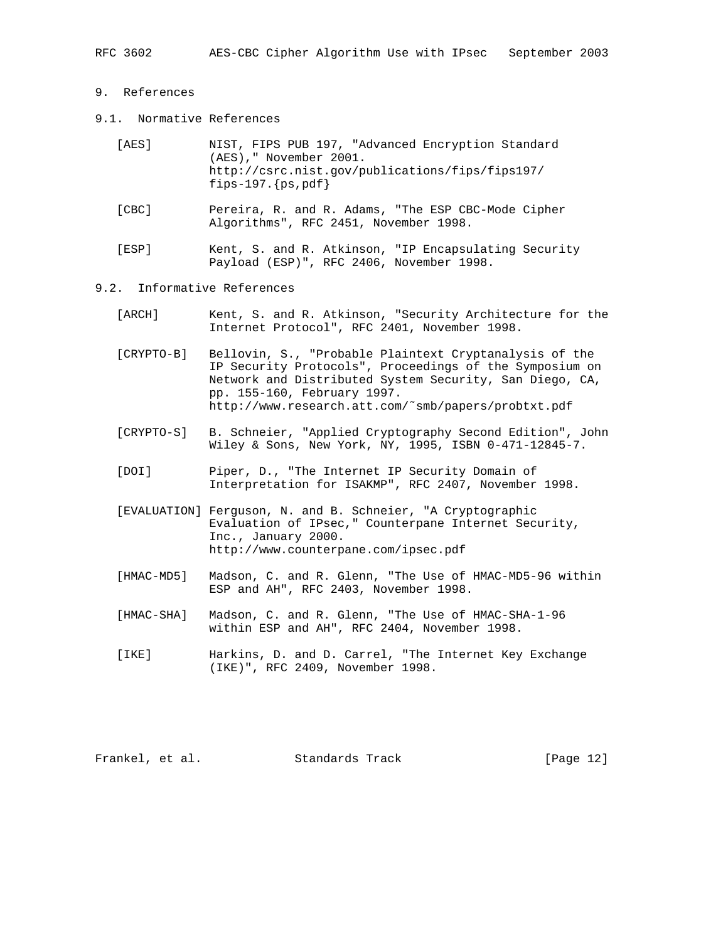# 9. References

9.1. Normative References

| [AES] | NIST, FIPS PUB 197, "Advanced Encryption Standard                        |
|-------|--------------------------------------------------------------------------|
|       | (AES)," November 2001.                                                   |
|       | http://csrc.nist.qov/publications/fips/fips197/<br>fips-197. ${ps, pdf}$ |

- [CBC] Pereira, R. and R. Adams, "The ESP CBC-Mode Cipher Algorithms", RFC 2451, November 1998.
- [ESP] Kent, S. and R. Atkinson, "IP Encapsulating Security Payload (ESP)", RFC 2406, November 1998.

#### 9.2. Informative References

- [ARCH] Kent, S. and R. Atkinson, "Security Architecture for the Internet Protocol", RFC 2401, November 1998.
- [CRYPTO-B] Bellovin, S., "Probable Plaintext Cryptanalysis of the IP Security Protocols", Proceedings of the Symposium on Network and Distributed System Security, San Diego, CA, pp. 155-160, February 1997. http://www.research.att.com/˜smb/papers/probtxt.pdf
- [CRYPTO-S] B. Schneier, "Applied Cryptography Second Edition", John Wiley & Sons, New York, NY, 1995, ISBN 0-471-12845-7.
- [DOI] Piper, D., "The Internet IP Security Domain of Interpretation for ISAKMP", RFC 2407, November 1998.
- [EVALUATION] Ferguson, N. and B. Schneier, "A Cryptographic Evaluation of IPsec," Counterpane Internet Security, Inc., January 2000. http://www.counterpane.com/ipsec.pdf
- [HMAC-MD5] Madson, C. and R. Glenn, "The Use of HMAC-MD5-96 within ESP and AH", RFC 2403, November 1998.
- [HMAC-SHA] Madson, C. and R. Glenn, "The Use of HMAC-SHA-1-96 within ESP and AH", RFC 2404, November 1998.
- [IKE] Harkins, D. and D. Carrel, "The Internet Key Exchange (IKE)", RFC 2409, November 1998.

Frankel, et al. Standards Track [Page 12]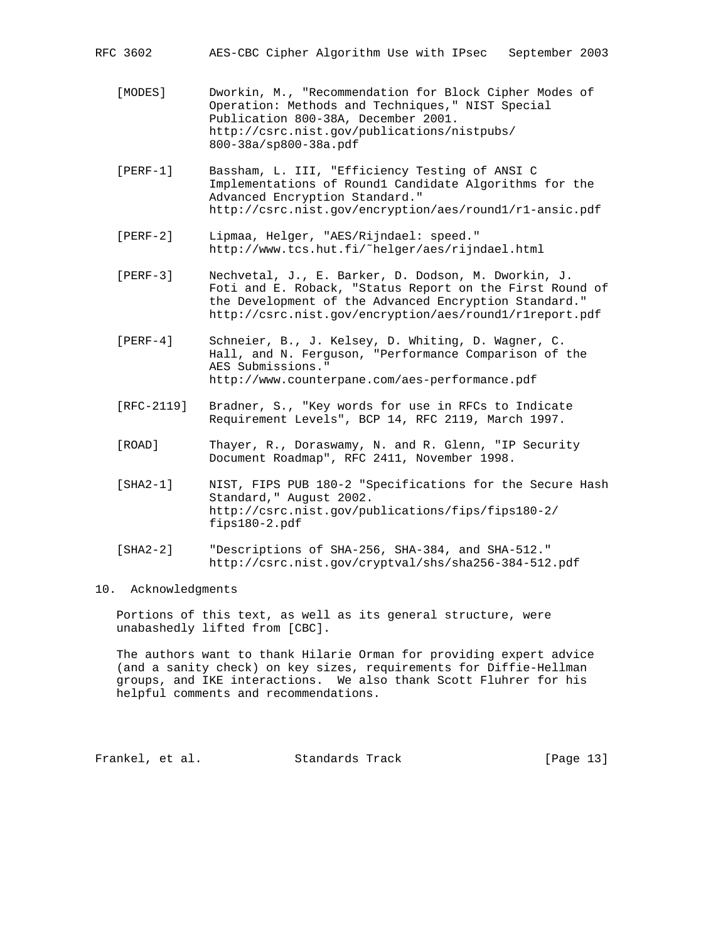RFC 3602 AES-CBC Cipher Algorithm Use with IPsec September 2003

- [MODES] Dworkin, M., "Recommendation for Block Cipher Modes of Operation: Methods and Techniques," NIST Special Publication 800-38A, December 2001. http://csrc.nist.gov/publications/nistpubs/ 800-38a/sp800-38a.pdf
- [PERF-1] Bassham, L. III, "Efficiency Testing of ANSI C Implementations of Round1 Candidate Algorithms for the Advanced Encryption Standard." http://csrc.nist.gov/encryption/aes/round1/r1-ansic.pdf
- [PERF-2] Lipmaa, Helger, "AES/Rijndael: speed." http://www.tcs.hut.fi/˜helger/aes/rijndael.html
- [PERF-3] Nechvetal, J., E. Barker, D. Dodson, M. Dworkin, J. Foti and E. Roback, "Status Report on the First Round of the Development of the Advanced Encryption Standard." http://csrc.nist.gov/encryption/aes/round1/r1report.pdf
- [PERF-4] Schneier, B., J. Kelsey, D. Whiting, D. Wagner, C. Hall, and N. Ferguson, "Performance Comparison of the AES Submissions." http://www.counterpane.com/aes-performance.pdf
- [RFC-2119] Bradner, S., "Key words for use in RFCs to Indicate Requirement Levels", BCP 14, RFC 2119, March 1997.
- [ROAD] Thayer, R., Doraswamy, N. and R. Glenn, "IP Security Document Roadmap", RFC 2411, November 1998.
- [SHA2-1] NIST, FIPS PUB 180-2 "Specifications for the Secure Hash Standard," August 2002. http://csrc.nist.gov/publications/fips/fips180-2/ fips180-2.pdf
- [SHA2-2] "Descriptions of SHA-256, SHA-384, and SHA-512." http://csrc.nist.gov/cryptval/shs/sha256-384-512.pdf

### 10. Acknowledgments

 Portions of this text, as well as its general structure, were unabashedly lifted from [CBC].

 The authors want to thank Hilarie Orman for providing expert advice (and a sanity check) on key sizes, requirements for Diffie-Hellman groups, and IKE interactions. We also thank Scott Fluhrer for his helpful comments and recommendations.

Frankel, et al. Standards Track [Page 13]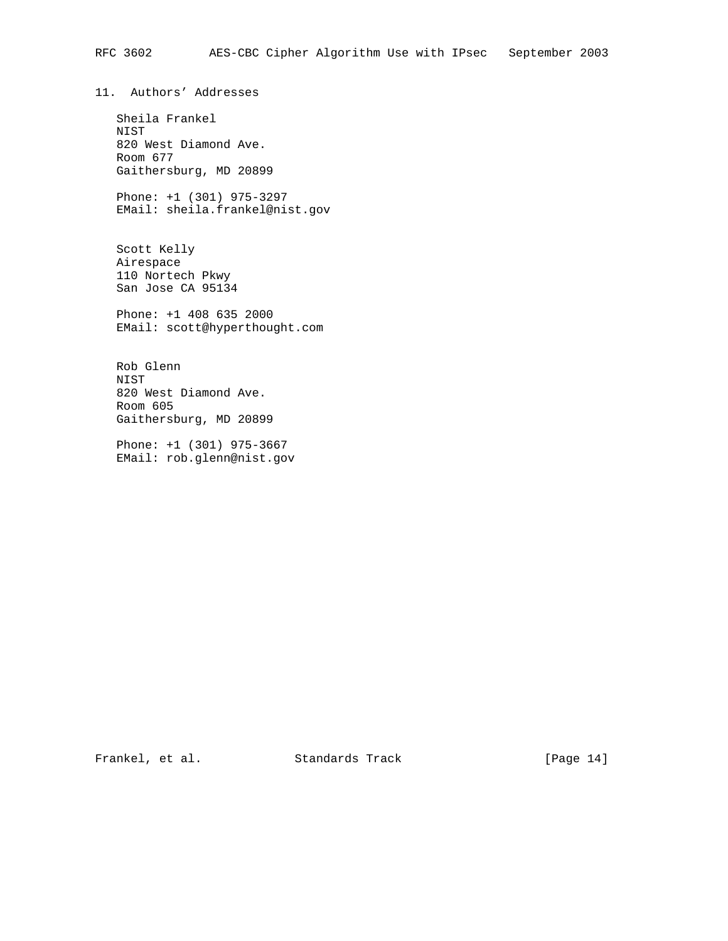11. Authors' Addresses

 Sheila Frankel NIST 820 West Diamond Ave. Room 677 Gaithersburg, MD 20899

 Phone: +1 (301) 975-3297 EMail: sheila.frankel@nist.gov

 Scott Kelly Airespace 110 Nortech Pkwy San Jose CA 95134

 Phone: +1 408 635 2000 EMail: scott@hyperthought.com

 Rob Glenn NIST 820 West Diamond Ave. Room 605 Gaithersburg, MD 20899

 Phone: +1 (301) 975-3667 EMail: rob.glenn@nist.gov

Frankel, et al. Standards Track [Page 14]